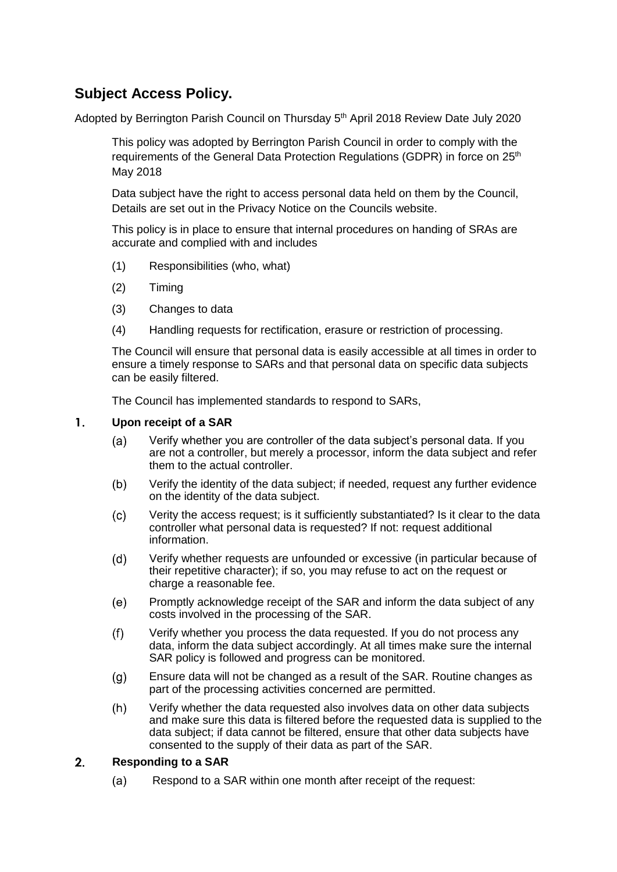# **Subject Access Policy.**

Adopted by Berrington Parish Council on Thursday 5<sup>th</sup> April 2018 Review Date July 2020

This policy was adopted by Berrington Parish Council in order to comply with the requirements of the General Data Protection Regulations (GDPR) in force on 25<sup>th</sup> May 2018

Data subject have the right to access personal data held on them by the Council, Details are set out in the Privacy Notice on the Councils website.

This policy is in place to ensure that internal procedures on handing of SRAs are accurate and complied with and includes

- (1) Responsibilities (who, what)
- (2) Timing
- (3) Changes to data
- (4) Handling requests for rectification, erasure or restriction of processing.

The Council will ensure that personal data is easily accessible at all times in order to ensure a timely response to SARs and that personal data on specific data subjects can be easily filtered.

The Council has implemented standards to respond to SARs,

### $\mathbf{1}$ **Upon receipt of a SAR**

- Verify whether you are controller of the data subject's personal data. If you  $(a)$ are not a controller, but merely a processor, inform the data subject and refer them to the actual controller.
- $(b)$ Verify the identity of the data subject; if needed, request any further evidence on the identity of the data subject.
- $(c)$ Verity the access request; is it sufficiently substantiated? Is it clear to the data controller what personal data is requested? If not: request additional information.
- Verify whether requests are unfounded or excessive (in particular because of  $(d)$ their repetitive character); if so, you may refuse to act on the request or charge a reasonable fee.
- $(e)$ Promptly acknowledge receipt of the SAR and inform the data subject of any costs involved in the processing of the SAR.
- Verify whether you process the data requested. If you do not process any  $(f)$ data, inform the data subject accordingly. At all times make sure the internal SAR policy is followed and progress can be monitored.
- Ensure data will not be changed as a result of the SAR. Routine changes as  $(q)$ part of the processing activities concerned are permitted.
- $(h)$ Verify whether the data requested also involves data on other data subjects and make sure this data is filtered before the requested data is supplied to the data subject; if data cannot be filtered, ensure that other data subjects have consented to the supply of their data as part of the SAR.

#### $2.$ **Responding to a SAR**

Respond to a SAR within one month after receipt of the request:  $(a)$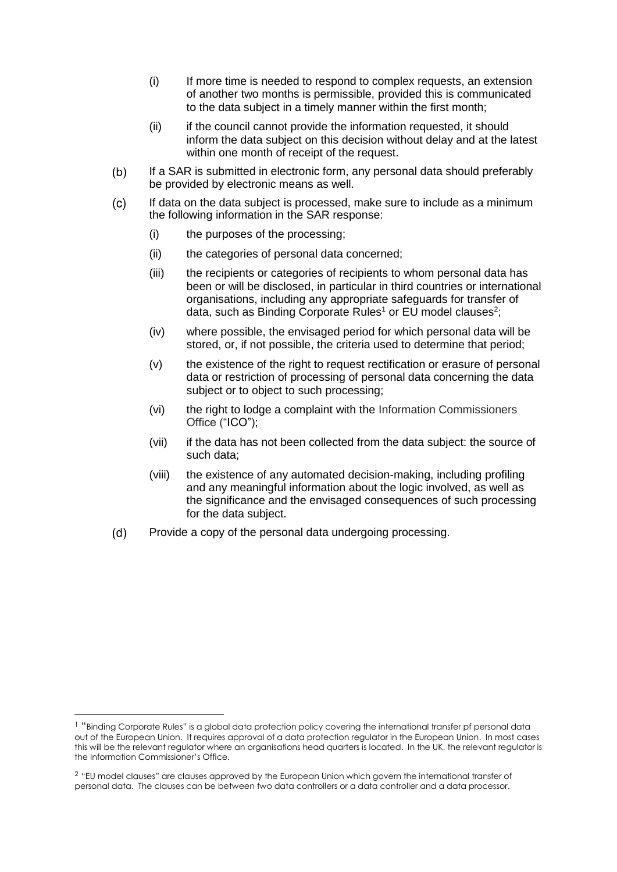- (i) If more time is needed to respond to complex requests, an extension of another two months is permissible, provided this is communicated to the data subject in a timely manner within the first month;
- (ii) if the council cannot provide the information requested, it should inform the data subject on this decision without delay and at the latest within one month of receipt of the request.
- $(b)$ If a SAR is submitted in electronic form, any personal data should preferably be provided by electronic means as well.
- $(c)$ If data on the data subject is processed, make sure to include as a minimum the following information in the SAR response:
	- (i) the purposes of the processing;
	- (ii) the categories of personal data concerned;
	- (iii) the recipients or categories of recipients to whom personal data has been or will be disclosed, in particular in third countries or international organisations, including any appropriate safeguards for transfer of data, such as Binding Corporate Rules<sup>1</sup> or EU model clauses<sup>2</sup>;
	- (iv) where possible, the envisaged period for which personal data will be stored, or, if not possible, the criteria used to determine that period;
	- (v) the existence of the right to request rectification or erasure of personal data or restriction of processing of personal data concerning the data subject or to object to such processing;
	- (vi) the right to lodge a complaint with the Information Commissioners Office ("ICO");
	- (vii) if the data has not been collected from the data subject: the source of such data;
	- (viii) the existence of any automated decision-making, including profiling and any meaningful information about the logic involved, as well as the significance and the envisaged consequences of such processing for the data subject.
- $(d)$ Provide a copy of the personal data undergoing processing.

1

<sup>&</sup>lt;sup>1</sup> "Binding Corporate Rules" is a global data protection policy covering the international transfer pf personal data out of the European Union. It requires approval of a data protection regulator in the European Union. In most cases this will be the relevant regulator where an organisations head quarters is located. In the UK, the relevant regulator is the Information Commissioner's Office.

<sup>2</sup> "EU model clauses" are clauses approved by the European Union which govern the international transfer of personal data. The clauses can be between two data controllers or a data controller and a data processor.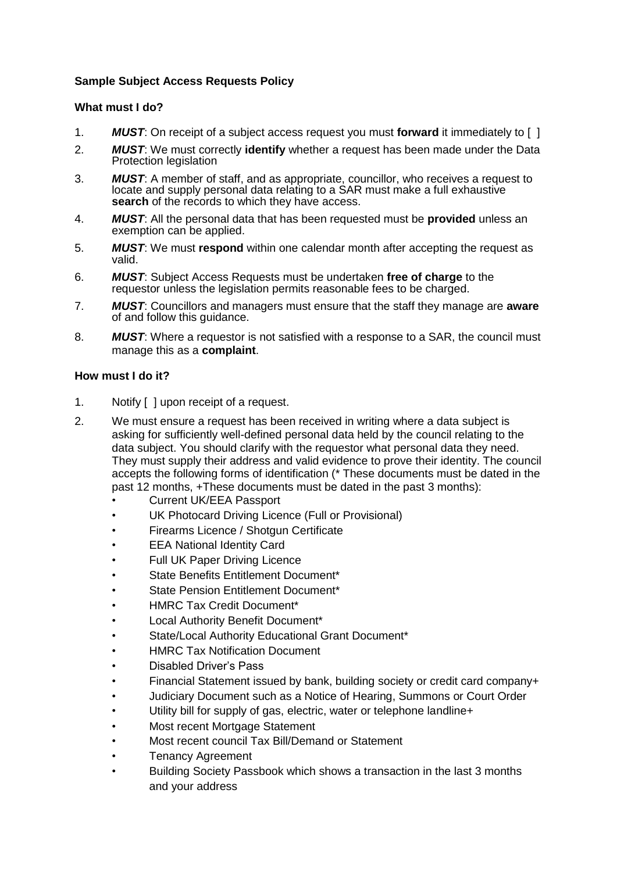# **Sample Subject Access Requests Policy**

## **What must I do?**

- 1. *MUST*: On receipt of a subject access request you must **forward** it immediately to [ ]
- 2. *MUST*: We must correctly **identify** whether a request has been made under the Data Protection legislation
- 3. *MUST*: A member of staff, and as appropriate, councillor, who receives a request to locate and supply personal data relating to a SAR must make a full exhaustive search of the records to which they have access.
- 4. *MUST*: All the personal data that has been requested must be **provided** unless an exemption can be applied.
- 5. *MUST*: We must **respond** within one calendar month after accepting the request as valid.
- 6. *MUST*: Subject Access Requests must be undertaken **free of charge** to the requestor unless the legislation permits reasonable fees to be charged.
- 7. *MUST*: Councillors and managers must ensure that the staff they manage are **aware** of and follow this guidance.
- 8. *MUST*: Where a requestor is not satisfied with a response to a SAR, the council must manage this as a **complaint**.

### **How must I do it?**

- 1. Notify [ ] upon receipt of a request.
- 2. We must ensure a request has been received in writing where a data subject is asking for sufficiently well-defined personal data held by the council relating to the data subject. You should clarify with the requestor what personal data they need. They must supply their address and valid evidence to prove their identity. The council accepts the following forms of identification (\* These documents must be dated in the past 12 months, +These documents must be dated in the past 3 months):
	- Current UK/EEA Passport
	- UK Photocard Driving Licence (Full or Provisional)
	- Firearms Licence / Shotgun Certificate
	- EEA National Identity Card
	- Full UK Paper Driving Licence
	- State Benefits Entitlement Document\*
	- State Pension Entitlement Document\*
	- HMRC Tax Credit Document\*
	- Local Authority Benefit Document\*
	- State/Local Authority Educational Grant Document\*
	- HMRC Tax Notification Document
	- Disabled Driver's Pass
	- Financial Statement issued by bank, building society or credit card company+
	- Judiciary Document such as a Notice of Hearing, Summons or Court Order
	- Utility bill for supply of gas, electric, water or telephone landline+
	- Most recent Mortgage Statement
	- Most recent council Tax Bill/Demand or Statement
	- Tenancy Agreement
	- Building Society Passbook which shows a transaction in the last 3 months and your address